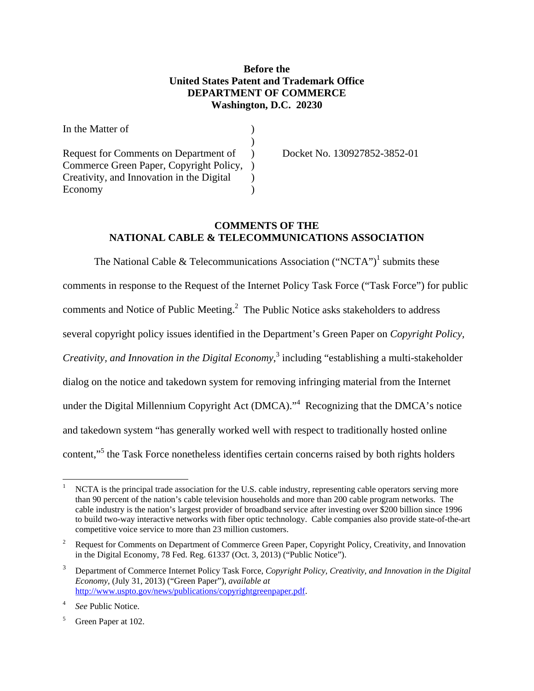## **Before the United States Patent and Trademark Office DEPARTMENT OF COMMERCE Washington, D.C. 20230**

| In the Matter of                          |                              |
|-------------------------------------------|------------------------------|
|                                           |                              |
| Request for Comments on Department of     | Docket No. 130927852-3852-01 |
| Commerce Green Paper, Copyright Policy,   |                              |
| Creativity, and Innovation in the Digital |                              |
| Economy                                   |                              |

## **COMMENTS OF THE NATIONAL CABLE & TELECOMMUNICATIONS ASSOCIATION**

The National Cable & Telecommunications Association ("NCTA")<sup>1</sup> submits these comments in response to the Request of the Internet Policy Task Force ("Task Force") for public comments and Notice of Public Meeting. $<sup>2</sup>$  The Public Notice asks stakeholders to address</sup> several copyright policy issues identified in the Department's Green Paper on *Copyright Policy, Creativity, and Innovation in the Digital Economy*, 3 including "establishing a multi-stakeholder dialog on the notice and takedown system for removing infringing material from the Internet under the Digital Millennium Copyright Act (DMCA). $1/4$  Recognizing that the DMCA's notice and takedown system "has generally worked well with respect to traditionally hosted online content,"<sup>5</sup> the Task Force nonetheless identifies certain concerns raised by both rights holders

 $\overline{a}$ 

<sup>1</sup> NCTA is the principal trade association for the U.S. cable industry, representing cable operators serving more than 90 percent of the nation's cable television households and more than 200 cable program networks. The cable industry is the nation's largest provider of broadband service after investing over \$200 billion since 1996 to build two-way interactive networks with fiber optic technology. Cable companies also provide state-of-the-art competitive voice service to more than 23 million customers.

<sup>2</sup> Request for Comments on Department of Commerce Green Paper, Copyright Policy, Creativity, and Innovation in the Digital Economy, 78 Fed. Reg. 61337 (Oct. 3, 2013) ("Public Notice").

<sup>3</sup> Department of Commerce Internet Policy Task Force, *Copyright Policy, Creativity, and Innovation in the Digital Economy,* (July 31, 2013) ("Green Paper"), *available at* http://www.uspto.gov/news/publications/copyrightgreenpaper.pdf.

<sup>4</sup> *See* Public Notice.

<sup>5</sup> Green Paper at 102.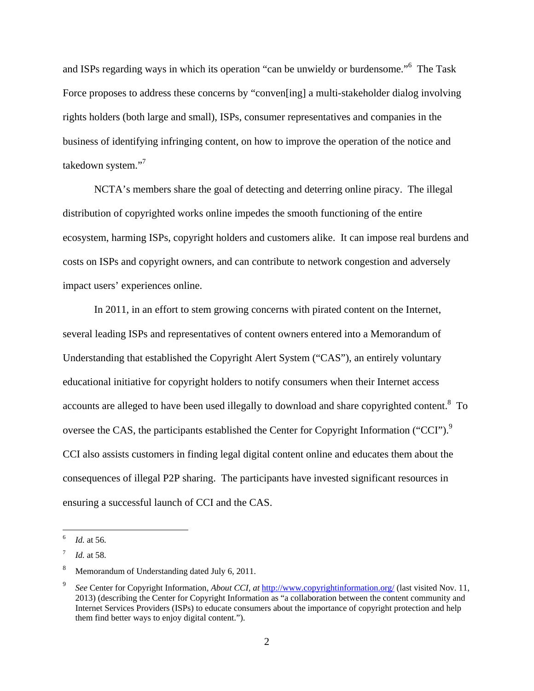and ISPs regarding ways in which its operation "can be unwieldy or burdensome."<sup>6</sup> The Task Force proposes to address these concerns by "conven[ing] a multi-stakeholder dialog involving rights holders (both large and small), ISPs, consumer representatives and companies in the business of identifying infringing content, on how to improve the operation of the notice and takedown system."<sup>7</sup>

 NCTA's members share the goal of detecting and deterring online piracy. The illegal distribution of copyrighted works online impedes the smooth functioning of the entire ecosystem, harming ISPs, copyright holders and customers alike. It can impose real burdens and costs on ISPs and copyright owners, and can contribute to network congestion and adversely impact users' experiences online.

In 2011, in an effort to stem growing concerns with pirated content on the Internet, several leading ISPs and representatives of content owners entered into a Memorandum of Understanding that established the Copyright Alert System ("CAS"), an entirely voluntary educational initiative for copyright holders to notify consumers when their Internet access accounts are alleged to have been used illegally to download and share copyrighted content. $8\text{ To}$ oversee the CAS, the participants established the Center for Copyright Information ("CCI").<sup>9</sup> CCI also assists customers in finding legal digital content online and educates them about the consequences of illegal P2P sharing. The participants have invested significant resources in ensuring a successful launch of CCI and the CAS.

 $\frac{1}{6}$ *Id.* at 56.

<sup>7</sup> *Id.* at 58.

<sup>8</sup> Memorandum of Understanding dated July 6, 2011.

<sup>9</sup> *See* Center for Copyright Information, *About CCI, at* http://www.copyrightinformation.org/ (last visited Nov. 11, 2013) (describing the Center for Copyright Information as "a collaboration between the content community and Internet Services Providers (ISPs) to educate consumers about the importance of copyright protection and help them find better ways to enjoy digital content.").